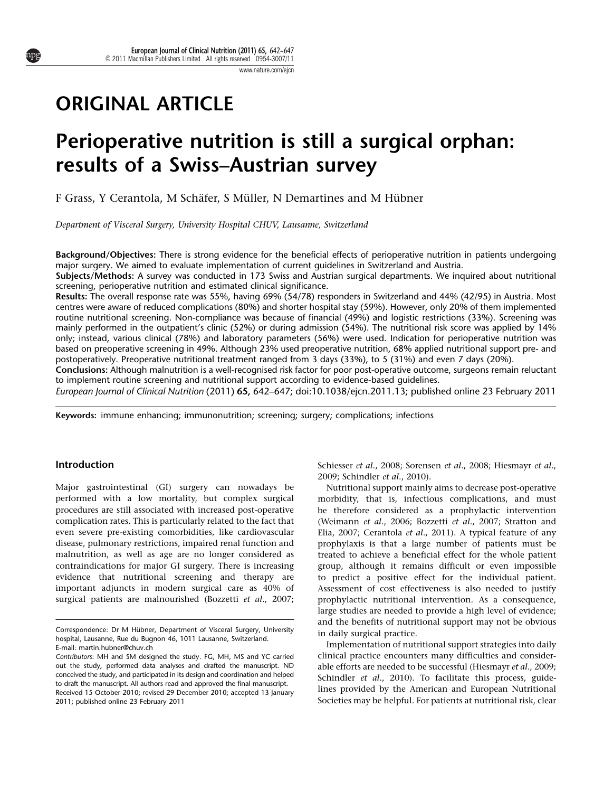# ORIGINAL ARTICLE

# Perioperative nutrition is still a surgical orphan: results of a Swiss–Austrian survey

F Grass, Y Cerantola, M Schäfer, S Müller, N Demartines and M Hübner

Department of Visceral Surgery, University Hospital CHUV, Lausanne, Switzerland

Background/Objectives: There is strong evidence for the beneficial effects of perioperative nutrition in patients undergoing major surgery. We aimed to evaluate implementation of current guidelines in Switzerland and Austria.

Subjects/Methods: A survey was conducted in 173 Swiss and Austrian surgical departments. We inquired about nutritional screening, perioperative nutrition and estimated clinical significance.

Results: The overall response rate was 55%, having 69% (54/78) responders in Switzerland and 44% (42/95) in Austria. Most centres were aware of reduced complications (80%) and shorter hospital stay (59%). However, only 20% of them implemented routine nutritional screening. Non-compliance was because of financial (49%) and logistic restrictions (33%). Screening was mainly performed in the outpatient's clinic (52%) or during admission (54%). The nutritional risk score was applied by 14% only; instead, various clinical (78%) and laboratory parameters (56%) were used. Indication for perioperative nutrition was based on preoperative screening in 49%. Although 23% used preoperative nutrition, 68% applied nutritional support pre- and postoperatively. Preoperative nutritional treatment ranged from 3 days (33%), to 5 (31%) and even 7 days (20%).

Conclusions: Although malnutrition is a well-recognised risk factor for poor post-operative outcome, surgeons remain reluctant to implement routine screening and nutritional support according to evidence-based guidelines.

European Journal of Clinical Nutrition (2011) 65, 642–647; doi:[10.1038/ejcn.2011.13;](http://dx.doi.org/10.1038/ejcn.2011.13) published online 23 February 2011

Keywords: immune enhancing; immunonutrition; screening; surgery; complications; infections

## Introduction

Major gastrointestinal (GI) surgery can nowadays be performed with a low mortality, but complex surgical procedures are still associated with increased post-operative complication rates. This is particularly related to the fact that even severe pre-existing comorbidities, like cardiovascular disease, pulmonary restrictions, impaired renal function and malnutrition, as well as age are no longer considered as contraindications for major GI surgery. There is increasing evidence that nutritional screening and therapy are important adjuncts in modern surgical care as 40% of surgical patients are malnourished ([Bozzetti](#page-4-0) et al., 2007; [Schiesser](#page-5-0) et al., 2008; [Sorensen](#page-5-0) et al., 2008; [Hiesmayr](#page-4-0) et al., [2009](#page-4-0); [Schindler](#page-5-0) et al., 2010).

Nutritional support mainly aims to decrease post-operative morbidity, that is, infectious complications, and must be therefore considered as a prophylactic intervention ([Weimann](#page-5-0) et al., 2006; [Bozzetti](#page-4-0) et al., 2007; [Stratton and](#page-5-0) [Elia, 2007;](#page-5-0) [Cerantola](#page-4-0) et al., 2011). A typical feature of any prophylaxis is that a large number of patients must be treated to achieve a beneficial effect for the whole patient group, although it remains difficult or even impossible to predict a positive effect for the individual patient. Assessment of cost effectiveness is also needed to justify prophylactic nutritional intervention. As a consequence, large studies are needed to provide a high level of evidence; and the benefits of nutritional support may not be obvious in daily surgical practice.

Implementation of nutritional support strategies into daily clinical practice encounters many difficulties and considerable efforts are needed to be successful ([Hiesmayr](#page-4-0) et al., 2009; [Schindler](#page-5-0) et al., 2010). To facilitate this process, guidelines provided by the American and European Nutritional Societies may be helpful. For patients at nutritional risk, clear



Correspondence: Dr M Hübner, Department of Visceral Surgery, University hospital, Lausanne, Rue du Bugnon 46, 1011 Lausanne, Switzerland. E-mail: [martin.hubner@chuv.ch](mailto:martin.hubner@chuv.ch)

Received 15 October 2010; revised 29 December 2010; accepted 13 January 2011; published online 23 February 2011 Contributors: MH and SM designed the study. FG, MH, MS and YC carried out the study, performed data analyses and drafted the manuscript. ND conceived the study, and participated in its design and coordination and helped to draft the manuscript. All authors read and approved the final manuscript.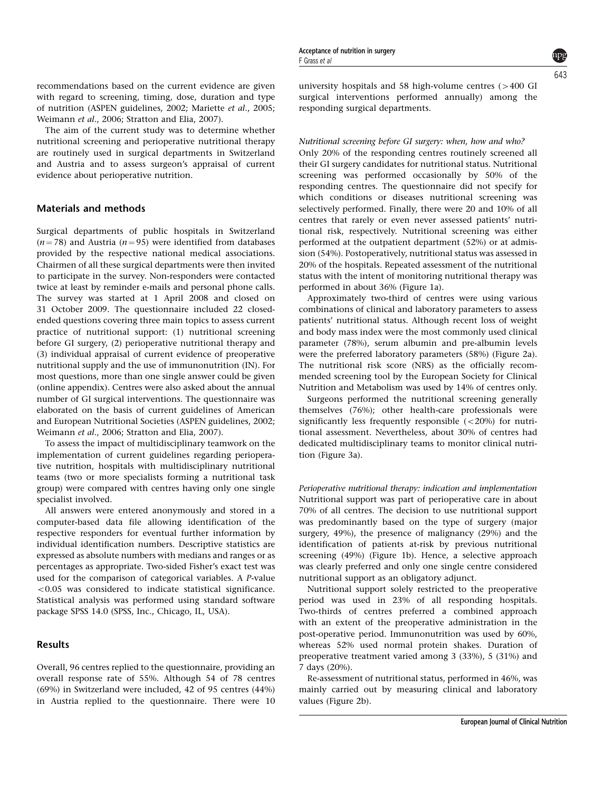F Grass et al

643

recommendations based on the current evidence are given with regard to screening, timing, dose, duration and type of nutrition ([ASPEN guidelines, 2002](#page-4-0); [Mariette](#page-5-0) et al., 2005; [Weimann](#page-5-0) et al., 2006; [Stratton and Elia, 2007\)](#page-5-0).

The aim of the current study was to determine whether nutritional screening and perioperative nutritional therapy are routinely used in surgical departments in Switzerland and Austria and to assess surgeon's appraisal of current evidence about perioperative nutrition.

## Materials and methods

Surgical departments of public hospitals in Switzerland  $(n = 78)$  and Austria  $(n = 95)$  were identified from databases provided by the respective national medical associations. Chairmen of all these surgical departments were then invited to participate in the survey. Non-responders were contacted twice at least by reminder e-mails and personal phone calls. The survey was started at 1 April 2008 and closed on 31 October 2009. The questionnaire included 22 closedended questions covering three main topics to assess current practice of nutritional support: (1) nutritional screening before GI surgery, (2) perioperative nutritional therapy and (3) individual appraisal of current evidence of preoperative nutritional supply and the use of immunonutrition (IN). For most questions, more than one single answer could be given (online appendix). Centres were also asked about the annual number of GI surgical interventions. The questionnaire was elaborated on the basis of current guidelines of American and European Nutritional Societies [\(ASPEN guidelines, 2002](#page-4-0); [Weimann](#page-5-0) et al., 2006; [Stratton and Elia, 2007\)](#page-5-0).

To assess the impact of multidisciplinary teamwork on the implementation of current guidelines regarding perioperative nutrition, hospitals with multidisciplinary nutritional teams (two or more specialists forming a nutritional task group) were compared with centres having only one single specialist involved.

All answers were entered anonymously and stored in a computer-based data file allowing identification of the respective responders for eventual further information by individual identification numbers. Descriptive statistics are expressed as absolute numbers with medians and ranges or as percentages as appropriate. Two-sided Fisher's exact test was used for the comparison of categorical variables. A P-value  $<$  0.05 was considered to indicate statistical significance. Statistical analysis was performed using standard software package SPSS 14.0 (SPSS, Inc., Chicago, IL, USA).

# Results

Overall, 96 centres replied to the questionnaire, providing an overall response rate of 55%. Although 54 of 78 centres (69%) in Switzerland were included, 42 of 95 centres (44%) in Austria replied to the questionnaire. There were 10 university hospitals and 58 high-volume centres  $(>400 \text{ G}$ I surgical interventions performed annually) among the responding surgical departments.

#### Nutritional screening before GI surgery: when, how and who?

Only 20% of the responding centres routinely screened all their GI surgery candidates for nutritional status. Nutritional screening was performed occasionally by 50% of the responding centres. The questionnaire did not specify for which conditions or diseases nutritional screening was selectively performed. Finally, there were 20 and 10% of all centres that rarely or even never assessed patients' nutritional risk, respectively. Nutritional screening was either performed at the outpatient department (52%) or at admission (54%). Postoperatively, nutritional status was assessed in 20% of the hospitals. Repeated assessment of the nutritional status with the intent of monitoring nutritional therapy was performed in about 36% ([Figure 1a\)](#page-2-0).

Approximately two-third of centres were using various combinations of clinical and laboratory parameters to assess patients' nutritional status. Although recent loss of weight and body mass index were the most commonly used clinical parameter (78%), serum albumin and pre-albumin levels were the preferred laboratory parameters (58%) ([Figure 2a](#page-2-0)). The nutritional risk score (NRS) as the officially recommended screening tool by the European Society for Clinical Nutrition and Metabolism was used by 14% of centres only.

Surgeons performed the nutritional screening generally themselves (76%); other health-care professionals were significantly less frequently responsible  $(<20\%)$  for nutritional assessment. Nevertheless, about 30% of centres had dedicated multidisciplinary teams to monitor clinical nutrition [\(Figure 3a](#page-3-0)).

Perioperative nutritional therapy: indication and implementation Nutritional support was part of perioperative care in about 70% of all centres. The decision to use nutritional support was predominantly based on the type of surgery (major surgery, 49%), the presence of malignancy (29%) and the identification of patients at-risk by previous nutritional screening (49%) [\(Figure 1b](#page-2-0)). Hence, a selective approach was clearly preferred and only one single centre considered nutritional support as an obligatory adjunct.

Nutritional support solely restricted to the preoperative period was used in 23% of all responding hospitals. Two-thirds of centres preferred a combined approach with an extent of the preoperative administration in the post-operative period. Immunonutrition was used by 60%, whereas 52% used normal protein shakes. Duration of preoperative treatment varied among 3 (33%), 5 (31%) and 7 days (20%).

Re-assessment of nutritional status, performed in 46%, was mainly carried out by measuring clinical and laboratory values [\(Figure 2b](#page-2-0)).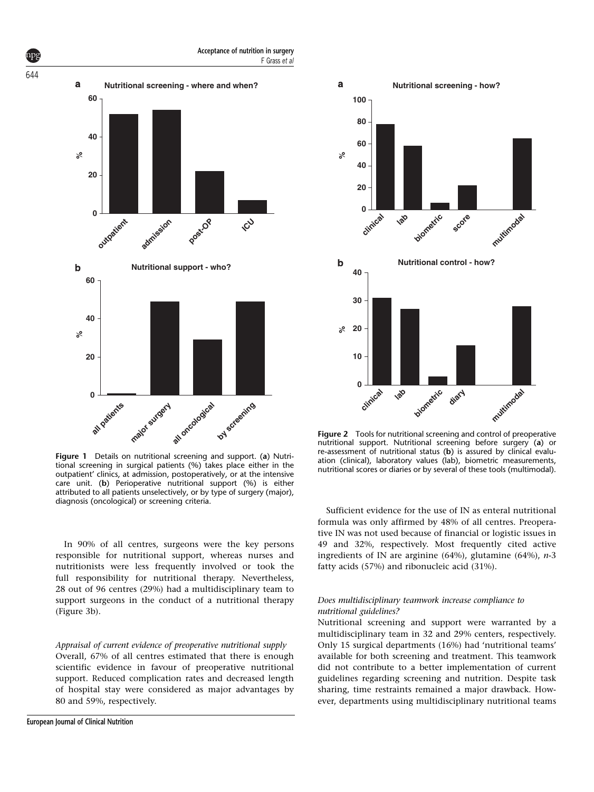<span id="page-2-0"></span>

Figure 1 Details on nutritional screening and support. (a) Nutritional screening in surgical patients (%) takes place either in the outpatient' clinics, at admission, postoperatively, or at the intensive care unit. (b) Perioperative nutritional support (%) is either attributed to all patients unselectively, or by type of surgery (major), diagnosis (oncological) or screening criteria.

In 90% of all centres, surgeons were the key persons responsible for nutritional support, whereas nurses and nutritionists were less frequently involved or took the full responsibility for nutritional therapy. Nevertheless, 28 out of 96 centres (29%) had a multidisciplinary team to support surgeons in the conduct of a nutritional therapy ([Figure 3b\)](#page-3-0).

### Appraisal of current evidence of preoperative nutritional supply

Overall, 67% of all centres estimated that there is enough scientific evidence in favour of preoperative nutritional support. Reduced complication rates and decreased length of hospital stay were considered as major advantages by 80 and 59%, respectively.



Figure 2 Tools for nutritional screening and control of preoperative nutritional support. Nutritional screening before surgery (a) or re-assessment of nutritional status (b) is assured by clinical evaluation (clinical), laboratory values (lab), biometric measurements, nutritional scores or diaries or by several of these tools (multimodal).

Sufficient evidence for the use of IN as enteral nutritional formula was only affirmed by 48% of all centres. Preoperative IN was not used because of financial or logistic issues in 49 and 32%, respectively. Most frequently cited active ingredients of IN are arginine (64%), glutamine (64%),  $n-3$ fatty acids (57%) and ribonucleic acid (31%).

### Does multidisciplinary teamwork increase compliance to nutritional guidelines?

Nutritional screening and support were warranted by a multidisciplinary team in 32 and 29% centers, respectively. Only 15 surgical departments (16%) had 'nutritional teams' available for both screening and treatment. This teamwork did not contribute to a better implementation of current guidelines regarding screening and nutrition. Despite task sharing, time restraints remained a major drawback. However, departments using multidisciplinary nutritional teams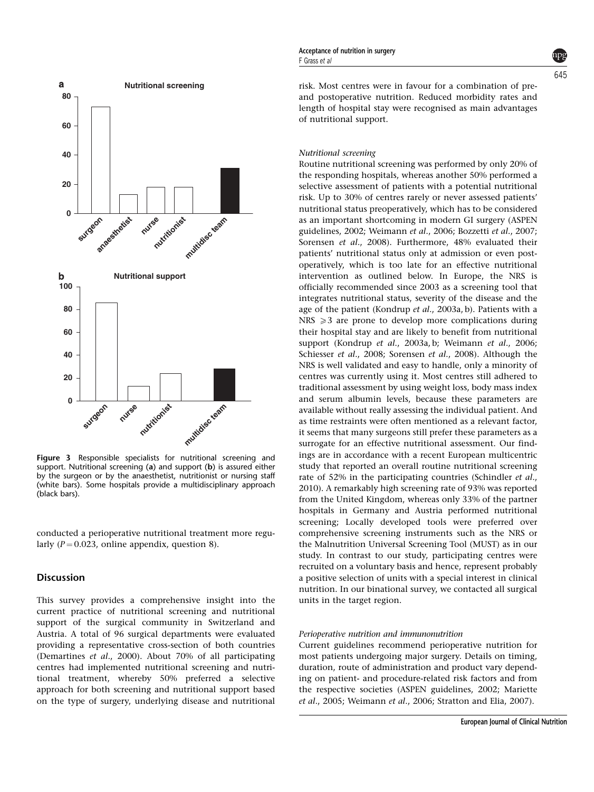<span id="page-3-0"></span>

Figure 3 Responsible specialists for nutritional screening and support. Nutritional screening (a) and support (b) is assured either by the surgeon or by the anaesthetist, nutritionist or nursing staff (white bars). Some hospitals provide a multidisciplinary approach (black bars).

conducted a perioperative nutritional treatment more regularly ( $P = 0.023$ , online appendix, question 8).

#### **Discussion**

This survey provides a comprehensive insight into the current practice of nutritional screening and nutritional support of the surgical community in Switzerland and Austria. A total of 96 surgical departments were evaluated providing a representative cross-section of both countries ([Demartines](#page-4-0) et al., 2000). About 70% of all participating centres had implemented nutritional screening and nutritional treatment, whereby 50% preferred a selective approach for both screening and nutritional support based on the type of surgery, underlying disease and nutritional

risk. Most centres were in favour for a combination of preand postoperative nutrition. Reduced morbidity rates and length of hospital stay were recognised as main advantages of nutritional support.

#### Nutritional screening

Routine nutritional screening was performed by only 20% of the responding hospitals, whereas another 50% performed a selective assessment of patients with a potential nutritional risk. Up to 30% of centres rarely or never assessed patients' nutritional status preoperatively, which has to be considered as an important shortcoming in modern GI surgery ([ASPEN](#page-4-0) [guidelines, 2002;](#page-4-0) [Weimann](#page-5-0) et al., 2006; [Bozzetti](#page-4-0) et al., 2007; [Sorensen](#page-5-0) et al., 2008). Furthermore, 48% evaluated their patients' nutritional status only at admission or even postoperatively, which is too late for an effective nutritional intervention as outlined below. In Europe, the NRS is officially recommended since 2003 as a screening tool that integrates nutritional status, severity of the disease and the age of the patient (Kondrup et al[., 2003a, b](#page-5-0)). Patients with a  $NRS \geq 3$  are prone to develop more complications during their hospital stay and are likely to benefit from nutritional support (Kondrup et al[., 2003a, b](#page-5-0); [Weimann](#page-5-0) et al., 2006; [Schiesser](#page-5-0) et al., 2008; [Sorensen](#page-5-0) et al., 2008). Although the NRS is well validated and easy to handle, only a minority of centres was currently using it. Most centres still adhered to traditional assessment by using weight loss, body mass index and serum albumin levels, because these parameters are available without really assessing the individual patient. And as time restraints were often mentioned as a relevant factor, it seems that many surgeons still prefer these parameters as a surrogate for an effective nutritional assessment. Our findings are in accordance with a recent European multicentric study that reported an overall routine nutritional screening rate of 52% in the participating countries [\(Schindler](#page-5-0) et al., [2010](#page-5-0)). A remarkably high screening rate of 93% was reported from the United Kingdom, whereas only 33% of the partner hospitals in Germany and Austria performed nutritional screening; Locally developed tools were preferred over comprehensive screening instruments such as the NRS or the Malnutrition Universal Screening Tool (MUST) as in our study. In contrast to our study, participating centres were recruited on a voluntary basis and hence, represent probably a positive selection of units with a special interest in clinical nutrition. In our binational survey, we contacted all surgical units in the target region.

#### Perioperative nutrition and immunonutrition

Current guidelines recommend perioperative nutrition for most patients undergoing major surgery. Details on timing, duration, route of administration and product vary depending on patient- and procedure-related risk factors and from the respective societies [\(ASPEN guidelines, 2002;](#page-4-0) [Mariette](#page-5-0) et al[., 2005](#page-5-0); [Weimann](#page-5-0) et al., 2006; [Stratton and Elia, 2007\)](#page-5-0).

645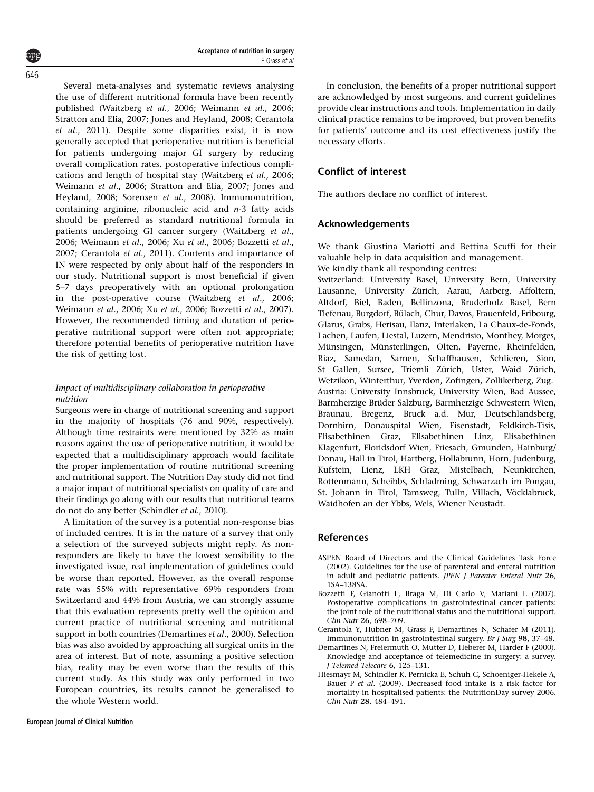<span id="page-4-0"></span>Several meta-analyses and systematic reviews analysing the use of different nutritional formula have been recently published ([Waitzberg](#page-5-0) et al., 2006; [Weimann](#page-5-0) et al., 2006; [Stratton and Elia, 2007; Jones and Heyland, 2008](#page-5-0); Cerantola et al., 2011). Despite some disparities exist, it is now generally accepted that perioperative nutrition is beneficial for patients undergoing major GI surgery by reducing overall complication rates, postoperative infectious complications and length of hospital stay ([Waitzberg](#page-5-0) et al., 2006; [Weimann](#page-5-0) et al., 2006; [Stratton and Elia, 2007; Jones and](#page-5-0) [Heyland, 2008; Sorensen](#page-5-0) et al., 2008). Immunonutrition, containing arginine, ribonucleic acid and  $n-3$  fatty acids should be preferred as standard nutritional formula in patients undergoing GI cancer surgery ([Waitzberg](#page-5-0) et al., [2006](#page-5-0); [Weimann](#page-5-0) et al., 2006; Xu et al[., 2006;](#page-5-0) Bozzetti et al., 2007; Cerantola et al., 2011). Contents and importance of IN were respected by only about half of the responders in our study. Nutritional support is most beneficial if given 5–7 days preoperatively with an optional prolongation in the post-operative course [\(Waitzberg](#page-5-0) et al., 2006; [Weimann](#page-5-0) et al., 2006; Xu et al[., 2006;](#page-5-0) Bozzetti et al., 2007). However, the recommended timing and duration of perioperative nutritional support were often not appropriate; therefore potential benefits of perioperative nutrition have the risk of getting lost.

## Impact of multidisciplinary collaboration in perioperative nutrition

Surgeons were in charge of nutritional screening and support in the majority of hospitals (76 and 90%, respectively). Although time restraints were mentioned by 32% as main reasons against the use of perioperative nutrition, it would be expected that a multidisciplinary approach would facilitate the proper implementation of routine nutritional screening and nutritional support. The Nutrition Day study did not find a major impact of nutritional specialists on quality of care and their findings go along with our results that nutritional teams do not do any better [\(Schindler](#page-5-0) et al., 2010).

A limitation of the survey is a potential non-response bias of included centres. It is in the nature of a survey that only a selection of the surveyed subjects might reply. As nonresponders are likely to have the lowest sensibility to the investigated issue, real implementation of guidelines could be worse than reported. However, as the overall response rate was 55% with representative 69% responders from Switzerland and 44% from Austria, we can strongly assume that this evaluation represents pretty well the opinion and current practice of nutritional screening and nutritional support in both countries (Demartines et al., 2000). Selection bias was also avoided by approaching all surgical units in the area of interest. But of note, assuming a positive selection bias, reality may be even worse than the results of this current study. As this study was only performed in two European countries, its results cannot be generalised to the whole Western world.

In conclusion, the benefits of a proper nutritional support are acknowledged by most surgeons, and current guidelines provide clear instructions and tools. Implementation in daily clinical practice remains to be improved, but proven benefits for patients' outcome and its cost effectiveness justify the necessary efforts.

# Conflict of interest

The authors declare no conflict of interest.

# Acknowledgements

We thank Giustina Mariotti and Bettina Scuffi for their valuable help in data acquisition and management.

We kindly thank all responding centres:

Switzerland: University Basel, University Bern, University Lausanne, University Zürich, Aarau, Aarberg, Affoltern, Altdorf, Biel, Baden, Bellinzona, Bruderholz Basel, Bern Tiefenau, Burgdorf, Bülach, Chur, Davos, Frauenfeld, Fribourg, Glarus, Grabs, Herisau, Ilanz, Interlaken, La Chaux-de-Fonds, Lachen, Laufen, Liestal, Luzern, Mendrisio, Monthey, Morges, Münsingen, Münsterlingen, Olten, Payerne, Rheinfelden, Riaz, Samedan, Sarnen, Schaffhausen, Schlieren, Sion, St Gallen, Sursee, Triemli Zürich, Uster, Waid Zürich, Wetzikon, Winterthur, Yverdon, Zofingen, Zollikerberg, Zug. Austria: University Innsbruck, University Wien, Bad Aussee, Barmherzige Brüder Salzburg, Barmherzige Schwestern Wien, Braunau, Bregenz, Bruck a.d. Mur, Deutschlandsberg, Dornbirn, Donauspital Wien, Eisenstadt, Feldkirch-Tisis, Elisabethinen Graz, Elisabethinen Linz, Elisabethinen Klagenfurt, Floridsdorf Wien, Friesach, Gmunden, Hainburg/ Donau, Hall in Tirol, Hartberg, Hollabrunn, Horn, Judenburg, Kufstein, Lienz, LKH Graz, Mistelbach, Neunkirchen, Rottenmann, Scheibbs, Schladming, Schwarzach im Pongau, St. Johann in Tirol, Tamsweg, Tulln, Villach, Vöcklabruck, Waidhofen an der Ybbs, Wels, Wiener Neustadt.

## References

- ASPEN Board of Directors and the Clinical Guidelines Task Force (2002). Guidelines for the use of parenteral and enteral nutrition in adult and pediatric patients. JPEN J Parenter Enteral Nutr 26, 1SA–138SA.
- Bozzetti F, Gianotti L, Braga M, Di Carlo V, Mariani L (2007). Postoperative complications in gastrointestinal cancer patients: the joint role of the nutritional status and the nutritional support. Clin Nutr 26, 698–709.
- Cerantola Y, Hubner M, Grass F, Demartines N, Schafer M (2011). Immunonutrition in gastrointestinal surgery. Br J Surg 98, 37–48.
- Demartines N, Freiermuth O, Mutter D, Heberer M, Harder F (2000). Knowledge and acceptance of telemedicine in surgery: a survey. J Telemed Telecare 6, 125–131.
- Hiesmayr M, Schindler K, Pernicka E, Schuh C, Schoeniger-Hekele A, Bauer P et al. (2009). Decreased food intake is a risk factor for mortality in hospitalised patients: the NutritionDay survey 2006. Clin Nutr 28, 484–491.